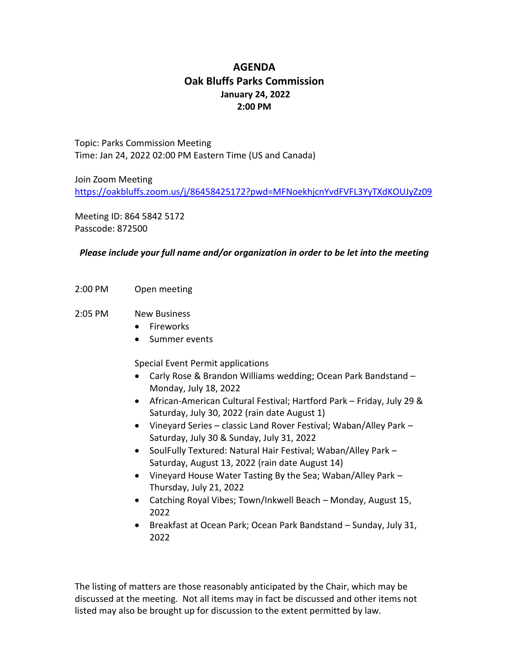## **AGENDA Oak Bluffs Parks Commission January 24, 2022 2:00 PM**

Topic: Parks Commission Meeting Time: Jan 24, 2022 02:00 PM Eastern Time (US and Canada)

Join Zoom Meeting <https://oakbluffs.zoom.us/j/86458425172?pwd=MFNoekhjcnYvdFVFL3YyTXdKOUJyZz09>

Meeting ID: 864 5842 5172 Passcode: 872500

## *Please include your full name and/or organization in order to be let into the meeting*

- 2:00 PM Open meeting
- 2:05 PM New Business
	- Fireworks
	- Summer events

Special Event Permit applications

- Carly Rose & Brandon Williams wedding; Ocean Park Bandstand Monday, July 18, 2022
- African-American Cultural Festival; Hartford Park Friday, July 29 & Saturday, July 30, 2022 (rain date August 1)
- Vineyard Series classic Land Rover Festival; Waban/Alley Park Saturday, July 30 & Sunday, July 31, 2022
- SoulFully Textured: Natural Hair Festival; Waban/Alley Park -Saturday, August 13, 2022 (rain date August 14)
- Vineyard House Water Tasting By the Sea; Waban/Alley Park Thursday, July 21, 2022
- Catching Royal Vibes; Town/Inkwell Beach Monday, August 15, 2022
- Breakfast at Ocean Park; Ocean Park Bandstand Sunday, July 31, 2022

The listing of matters are those reasonably anticipated by the Chair, which may be discussed at the meeting. Not all items may in fact be discussed and other items not listed may also be brought up for discussion to the extent permitted by law.